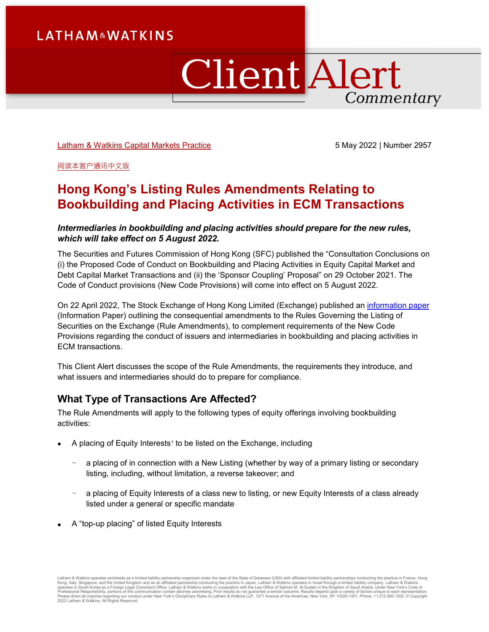# **Client Alert** Commentary

[Latham & Watkins Capital Markets Practice](https://www.lw.com/practices/CapitalMarkets) 5 May 2022 | Number 2957

[阅读本客户通讯中文版](https://ch.lw.com/thoughtLeadership/hong-kong-listing-rules-amendments-relating-to-bookbuilding-and-placing-activities-in-ecm-transactions-chinese-translation)

## **Hong Kong's Listing Rules Amendments Relating to Bookbuilding and Placing Activities in ECM Transactions**

#### *Intermediaries in bookbuilding and placing activities should prepare for the new rules, which will take effect on 5 August 2022.*

The Securities and Futures Commission of Hong Kong (SFC) published the "Consultation Conclusions on (i) the Proposed Code of Conduct on Bookbuilding and Placing Activities in Equity Capital Market and Debt Capital Market Transactions and (ii) the 'Sponsor Coupling' Proposal" on 29 October 2021. The Code of Conduct provisions (New Code Provisions) will come into effect on 5 August 2022.

On 22 April 2022, The Stock Exchange of Hong Kong Limited (Exchange) published an [information paper](https://en-rules.hkex.com.hk/sites/default/files/net_file_store/Update_137_Attachment1.pdf) (Information Paper) outlining the consequential amendments to the Rules Governing the Listing of Securities on the Exchange (Rule Amendments), to complement requirements of the New Code Provisions regarding the conduct of issuers and intermediaries in bookbuilding and placing activities in ECM transactions.

This Client Alert discusses the scope of the Rule Amendments, the requirements they introduce, and what issuers and intermediaries should do to prepare for compliance.

## **What Type of Transactions Are Affected?**

The Rule Amendments will apply to the following types of equity offerings involving bookbuilding activities:

- A placing of Equity Interests<sup>[1](#page-8-0)</sup> to be listed on the Exchange, including
	- a placing of in connection with a New Listing (whether by way of a primary listing or secondary listing, including, without limitation, a reverse takeover; and
	- a placing of Equity Interests of a class new to listing, or new Equity Interests of a class already listed under a general or specific mandate
- A "top-up placing" of listed Equity Interests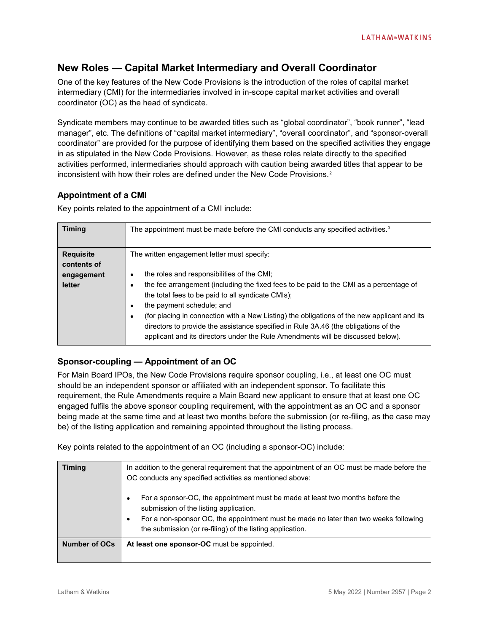## **New Roles — Capital Market Intermediary and Overall Coordinator**

One of the key features of the New Code Provisions is the introduction of the roles of capital market intermediary (CMI) for the intermediaries involved in in-scope capital market activities and overall coordinator (OC) as the head of syndicate.

Syndicate members may continue to be awarded titles such as "global coordinator", "book runner", "lead manager", etc. The definitions of "capital market intermediary", "overall coordinator", and "sponsor-overall coordinator" are provided for the purpose of identifying them based on the specified activities they engage in as stipulated in the New Code Provisions. However, as these roles relate directly to the specified activities performed, intermediaries should approach with caution being awarded titles that appear to be inconsistent with how their roles are defined under the New Code Provisions.<sup>[2](#page-8-1)</sup>

#### **Appointment of a CMI**

Key points related to the appointment of a CMI include:

| <b>Timing</b>                   | The appointment must be made before the CMI conducts any specified activities. <sup>3</sup>                                                                                                                                                                                                                                                                                                                                                                                                     |
|---------------------------------|-------------------------------------------------------------------------------------------------------------------------------------------------------------------------------------------------------------------------------------------------------------------------------------------------------------------------------------------------------------------------------------------------------------------------------------------------------------------------------------------------|
| <b>Requisite</b><br>contents of | The written engagement letter must specify:                                                                                                                                                                                                                                                                                                                                                                                                                                                     |
| engagement<br>letter            | the roles and responsibilities of the CMI;<br>the fee arrangement (including the fixed fees to be paid to the CMI as a percentage of<br>the total fees to be paid to all syndicate CMIs);<br>the payment schedule; and<br>(for placing in connection with a New Listing) the obligations of the new applicant and its<br>directors to provide the assistance specified in Rule 3A.46 (the obligations of the<br>applicant and its directors under the Rule Amendments will be discussed below). |

#### **Sponsor-coupling — Appointment of an OC**

For Main Board IPOs, the New Code Provisions require sponsor coupling, i.e., at least one OC must should be an independent sponsor or affiliated with an independent sponsor. To facilitate this requirement, the Rule Amendments require a Main Board new applicant to ensure that at least one OC engaged fulfils the above sponsor coupling requirement, with the appointment as an OC and a sponsor being made at the same time and at least two months before the submission (or re-filing, as the case may be) of the listing application and remaining appointed throughout the listing process.

Key points related to the appointment of an OC (including a sponsor-OC) include:

| <b>Timing</b>        | In addition to the general requirement that the appointment of an OC must be made before the<br>OC conducts any specified activities as mentioned above:                                                                                                                     |
|----------------------|------------------------------------------------------------------------------------------------------------------------------------------------------------------------------------------------------------------------------------------------------------------------------|
|                      | For a sponsor-OC, the appointment must be made at least two months before the<br>submission of the listing application.<br>For a non-sponsor OC, the appointment must be made no later than two weeks following<br>the submission (or re-filing) of the listing application. |
| <b>Number of OCs</b> | At least one sponsor-OC must be appointed.                                                                                                                                                                                                                                   |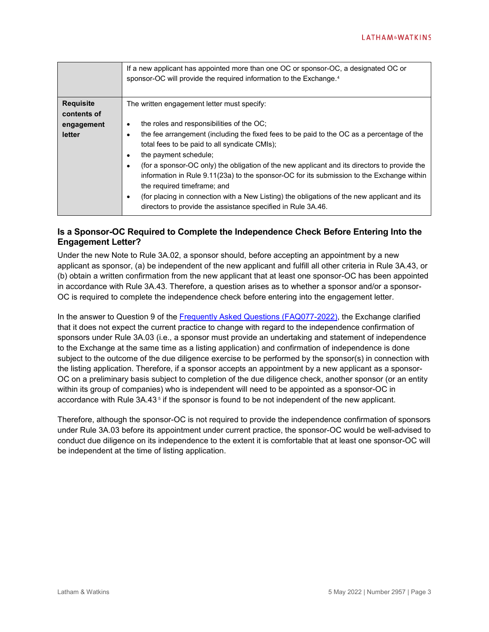|                  | If a new applicant has appointed more than one OC or sponsor-OC, a designated OC or<br>sponsor-OC will provide the required information to the Exchange. <sup>4</sup> |
|------------------|-----------------------------------------------------------------------------------------------------------------------------------------------------------------------|
| <b>Requisite</b> | The written engagement letter must specify:                                                                                                                           |
| contents of      |                                                                                                                                                                       |
| engagement       | the roles and responsibilities of the OC;<br>$\bullet$                                                                                                                |
| letter           | the fee arrangement (including the fixed fees to be paid to the OC as a percentage of the<br>$\bullet$                                                                |
|                  | total fees to be paid to all syndicate CMIs);                                                                                                                         |
|                  | the payment schedule;<br>$\bullet$                                                                                                                                    |
|                  | (for a sponsor-OC only) the obligation of the new applicant and its directors to provide the<br>٠                                                                     |
|                  | information in Rule 9.11(23a) to the sponsor-OC for its submission to the Exchange within                                                                             |
|                  | the required timeframe; and                                                                                                                                           |
|                  | (for placing in connection with a New Listing) the obligations of the new applicant and its<br>$\bullet$                                                              |
|                  | directors to provide the assistance specified in Rule 3A.46.                                                                                                          |
|                  |                                                                                                                                                                       |

#### **Is a Sponsor-OC Required to Complete the Independence Check Before Entering Into the Engagement Letter?**

Under the new Note to Rule 3A.02, a sponsor should, before accepting an appointment by a new applicant as sponsor, (a) be independent of the new applicant and fulfill all other criteria in Rule 3A.43, or (b) obtain a written confirmation from the new applicant that at least one sponsor-OC has been appointed in accordance with Rule 3A.43. Therefore, a question arises as to whether a sponsor and/or a sponsor-OC is required to complete the independence check before entering into the engagement letter.

In the answer to Question 9 of the [Frequently Asked Questions \(FAQ077-2022\),](https://en-rules.hkex.com.hk/sites/default/files/net_file_store/FAQ_077-2022.pdf) the Exchange clarified that it does not expect the current practice to change with regard to the independence confirmation of sponsors under Rule 3A.03 (i.e., a sponsor must provide an undertaking and statement of independence to the Exchange at the same time as a listing application) and confirmation of independence is done subject to the outcome of the due diligence exercise to be performed by the sponsor(s) in connection with the listing application. Therefore, if a sponsor accepts an appointment by a new applicant as a sponsor-OC on a preliminary basis subject to completion of the due diligence check, another sponsor (or an entity within its group of companies) who is independent will need to be appointed as a sponsor-OC in accordance with Rule 3A.43<sup>[5](#page-8-4)</sup> if the sponsor is found to be not independent of the new applicant.

Therefore, although the sponsor-OC is not required to provide the independence confirmation of sponsors under Rule 3A.03 before its appointment under current practice, the sponsor-OC would be well-advised to conduct due diligence on its independence to the extent it is comfortable that at least one sponsor-OC will be independent at the time of listing application.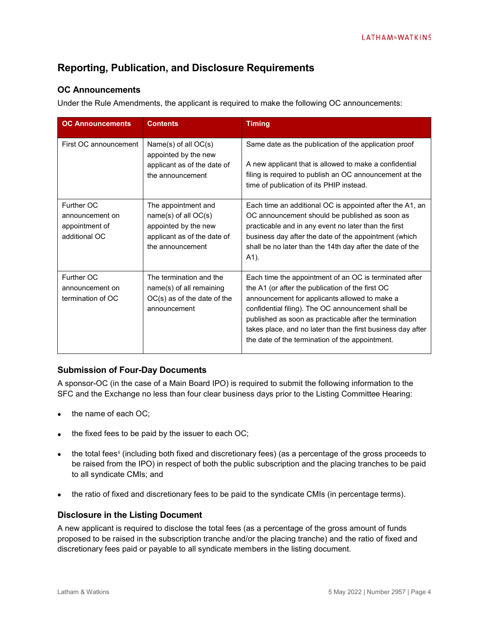## **Reporting, Publication, and Disclosure Requirements**

#### **OC Announcements**

Under the Rule Amendments, the applicant is required to make the following OC announcements:

| <b>OC Announcements</b>                                          | <b>Contents</b>                                                                                                        | <b>Timing</b>                                                                                                                                                                                                                                                                                                                                                                                 |
|------------------------------------------------------------------|------------------------------------------------------------------------------------------------------------------------|-----------------------------------------------------------------------------------------------------------------------------------------------------------------------------------------------------------------------------------------------------------------------------------------------------------------------------------------------------------------------------------------------|
| First OC announcement                                            | Name(s) of all OC(s)<br>appointed by the new<br>applicant as of the date of<br>the announcement                        | Same date as the publication of the application proof<br>A new applicant that is allowed to make a confidential<br>filing is required to publish an OC announcement at the<br>time of publication of its PHIP instead.                                                                                                                                                                        |
| Further OC<br>announcement on<br>appointment of<br>additional OC | The appointment and<br>name(s) of all OC(s)<br>appointed by the new<br>applicant as of the date of<br>the announcement | Each time an additional OC is appointed after the A1, an<br>OC announcement should be published as soon as<br>practicable and in any event no later than the first<br>business day after the date of the appointment (which<br>shall be no later than the 14th day after the date of the<br>A1).                                                                                              |
| Further OC<br>announcement on<br>termination of OC               | The termination and the<br>name(s) of all remaining<br>$OC(s)$ as of the date of the<br>announcement                   | Each time the appointment of an OC is terminated after<br>the A1 (or after the publication of the first OC<br>announcement for applicants allowed to make a<br>confidential filing). The OC announcement shall be<br>published as soon as practicable after the termination<br>takes place, and no later than the first business day after<br>the date of the termination of the appointment. |

#### **Submission of Four-Day Documents**

A sponsor-OC (in the case of a Main Board IPO) is required to submit the following information to the SFC and the Exchange no less than four clear business days prior to the Listing Committee Hearing:

- the name of each OC;
- the fixed fees to be paid by the issuer to each OC;
- the total fees<sup>[6](#page-8-5)</sup> (including both fixed and discretionary fees) (as a percentage of the gross proceeds to be raised from the IPO) in respect of both the public subscription and the placing tranches to be paid to all syndicate CMIs; and
- the ratio of fixed and discretionary fees to be paid to the syndicate CMIs (in percentage terms).

#### **Disclosure in the Listing Document**

A new applicant is required to disclose the total fees (as a percentage of the gross amount of funds proposed to be raised in the subscription tranche and/or the placing tranche) and the ratio of fixed and discretionary fees paid or payable to all syndicate members in the listing document.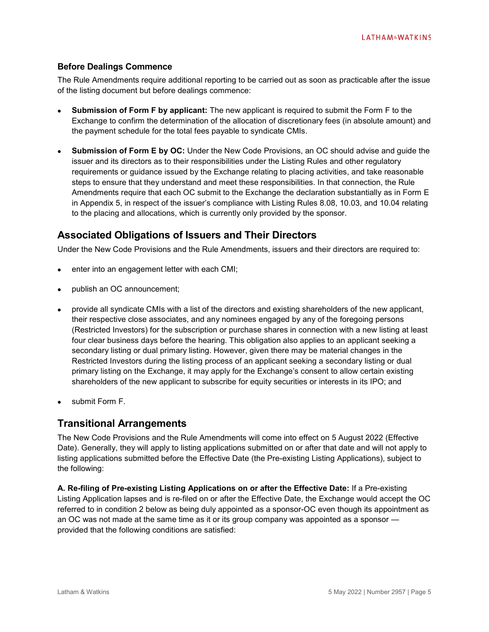#### **Before Dealings Commence**

The Rule Amendments require additional reporting to be carried out as soon as practicable after the issue of the listing document but before dealings commence:

- **Submission of Form F by applicant:** The new applicant is required to submit the Form F to the Exchange to confirm the determination of the allocation of discretionary fees (in absolute amount) and the payment schedule for the total fees payable to syndicate CMIs.
- **Submission of Form E by OC:** Under the New Code Provisions, an OC should advise and guide the issuer and its directors as to their responsibilities under the Listing Rules and other regulatory requirements or guidance issued by the Exchange relating to placing activities, and take reasonable steps to ensure that they understand and meet these responsibilities. In that connection, the Rule Amendments require that each OC submit to the Exchange the declaration substantially as in Form E in Appendix 5, in respect of the issuer's compliance with Listing Rules 8.08, 10.03, and 10.04 relating to the placing and allocations, which is currently only provided by the sponsor.

### **Associated Obligations of Issuers and Their Directors**

Under the New Code Provisions and the Rule Amendments, issuers and their directors are required to:

- enter into an engagement letter with each CMI;
- publish an OC announcement;
- provide all syndicate CMIs with a list of the directors and existing shareholders of the new applicant, their respective close associates, and any nominees engaged by any of the foregoing persons (Restricted Investors) for the subscription or purchase shares in connection with a new listing at least four clear business days before the hearing. This obligation also applies to an applicant seeking a secondary listing or dual primary listing. However, given there may be material changes in the Restricted Investors during the listing process of an applicant seeking a secondary listing or dual primary listing on the Exchange, it may apply for the Exchange's consent to allow certain existing shareholders of the new applicant to subscribe for equity securities or interests in its IPO; and
- submit Form F.

## **Transitional Arrangements**

The New Code Provisions and the Rule Amendments will come into effect on 5 August 2022 (Effective Date). Generally, they will apply to listing applications submitted on or after that date and will not apply to listing applications submitted before the Effective Date (the Pre-existing Listing Applications), subject to the following:

**A. Re-filing of Pre-existing Listing Applications on or after the Effective Date:** If a Pre-existing Listing Application lapses and is re-filed on or after the Effective Date, the Exchange would accept the OC referred to in condition 2 below as being duly appointed as a sponsor-OC even though its appointment as an OC was not made at the same time as it or its group company was appointed as a sponsor provided that the following conditions are satisfied: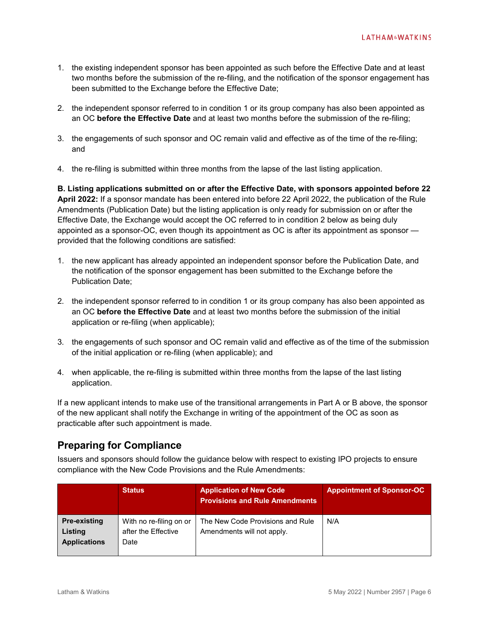- 1. the existing independent sponsor has been appointed as such before the Effective Date and at least two months before the submission of the re-filing, and the notification of the sponsor engagement has been submitted to the Exchange before the Effective Date;
- 2. the independent sponsor referred to in condition 1 or its group company has also been appointed as an OC **before the Effective Date** and at least two months before the submission of the re-filing;
- 3. the engagements of such sponsor and OC remain valid and effective as of the time of the re-filing; and
- 4. the re-filing is submitted within three months from the lapse of the last listing application.

**B. Listing applications submitted on or after the Effective Date, with sponsors appointed before 22 April 2022:** If a sponsor mandate has been entered into before 22 April 2022, the publication of the Rule Amendments (Publication Date) but the listing application is only ready for submission on or after the Effective Date, the Exchange would accept the OC referred to in condition 2 below as being duly appointed as a sponsor-OC, even though its appointment as OC is after its appointment as sponsor provided that the following conditions are satisfied:

- 1. the new applicant has already appointed an independent sponsor before the Publication Date, and the notification of the sponsor engagement has been submitted to the Exchange before the Publication Date;
- 2. the independent sponsor referred to in condition 1 or its group company has also been appointed as an OC **before the Effective Date** and at least two months before the submission of the initial application or re-filing (when applicable);
- 3. the engagements of such sponsor and OC remain valid and effective as of the time of the submission of the initial application or re-filing (when applicable); and
- 4. when applicable, the re-filing is submitted within three months from the lapse of the last listing application.

If a new applicant intends to make use of the transitional arrangements in Part A or B above, the sponsor of the new applicant shall notify the Exchange in writing of the appointment of the OC as soon as practicable after such appointment is made.

## **Preparing for Compliance**

Issuers and sponsors should follow the guidance below with respect to existing IPO projects to ensure compliance with the New Code Provisions and the Rule Amendments:

|                                                       | <b>Status</b>                                          | <b>Application of New Code</b><br><b>Provisions and Rule Amendments</b> | <b>Appointment of Sponsor-OC</b> |
|-------------------------------------------------------|--------------------------------------------------------|-------------------------------------------------------------------------|----------------------------------|
| <b>Pre-existing</b><br>Listing<br><b>Applications</b> | With no re-filing on or<br>after the Effective<br>Date | The New Code Provisions and Rule<br>Amendments will not apply.          | N/A                              |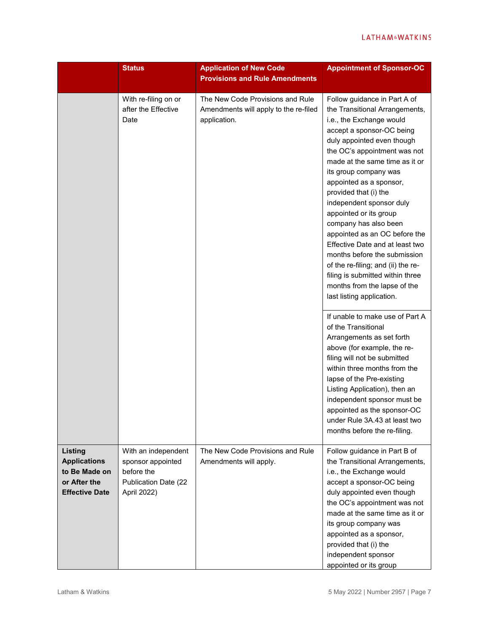|                                                                                          | <b>Status</b>                                                                                 | <b>Application of New Code</b><br><b>Provisions and Rule Amendments</b>                   | <b>Appointment of Sponsor-OC</b>                                                                                                                                                                                                                                                                                                                                                                                                                                                                                                                                                                                               |
|------------------------------------------------------------------------------------------|-----------------------------------------------------------------------------------------------|-------------------------------------------------------------------------------------------|--------------------------------------------------------------------------------------------------------------------------------------------------------------------------------------------------------------------------------------------------------------------------------------------------------------------------------------------------------------------------------------------------------------------------------------------------------------------------------------------------------------------------------------------------------------------------------------------------------------------------------|
|                                                                                          | With re-filing on or<br>after the Effective<br>Date                                           | The New Code Provisions and Rule<br>Amendments will apply to the re-filed<br>application. | Follow guidance in Part A of<br>the Transitional Arrangements,<br>i.e., the Exchange would<br>accept a sponsor-OC being<br>duly appointed even though<br>the OC's appointment was not<br>made at the same time as it or<br>its group company was<br>appointed as a sponsor,<br>provided that (i) the<br>independent sponsor duly<br>appointed or its group<br>company has also been<br>appointed as an OC before the<br>Effective Date and at least two<br>months before the submission<br>of the re-filing; and (ii) the re-<br>filing is submitted within three<br>months from the lapse of the<br>last listing application. |
|                                                                                          |                                                                                               |                                                                                           | If unable to make use of Part A<br>of the Transitional<br>Arrangements as set forth<br>above (for example, the re-<br>filing will not be submitted<br>within three months from the<br>lapse of the Pre-existing<br>Listing Application), then an<br>independent sponsor must be<br>appointed as the sponsor-OC<br>under Rule 3A.43 at least two<br>months before the re-filing.                                                                                                                                                                                                                                                |
| Listing<br><b>Applications</b><br>to Be Made on<br>or After the<br><b>Effective Date</b> | With an independent<br>sponsor appointed<br>before the<br>Publication Date (22<br>April 2022) | The New Code Provisions and Rule<br>Amendments will apply.                                | Follow guidance in Part B of<br>the Transitional Arrangements,<br>i.e., the Exchange would<br>accept a sponsor-OC being<br>duly appointed even though<br>the OC's appointment was not<br>made at the same time as it or<br>its group company was<br>appointed as a sponsor,<br>provided that (i) the<br>independent sponsor<br>appointed or its group                                                                                                                                                                                                                                                                          |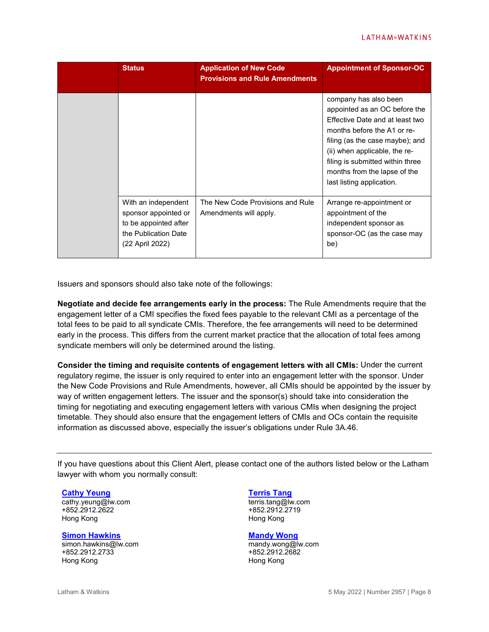|  | <b>Status</b>                                                                                                   | <b>Application of New Code</b><br><b>Provisions and Rule Amendments</b> | <b>Appointment of Sponsor-OC</b>                                                                                                                                                                                                                                                              |
|--|-----------------------------------------------------------------------------------------------------------------|-------------------------------------------------------------------------|-----------------------------------------------------------------------------------------------------------------------------------------------------------------------------------------------------------------------------------------------------------------------------------------------|
|  |                                                                                                                 |                                                                         | company has also been<br>appointed as an OC before the<br>Effective Date and at least two<br>months before the A1 or re-<br>filing (as the case maybe); and<br>(ii) when applicable, the re-<br>filing is submitted within three<br>months from the lapse of the<br>last listing application. |
|  | With an independent<br>sponsor appointed or<br>to be appointed after<br>the Publication Date<br>(22 April 2022) | The New Code Provisions and Rule<br>Amendments will apply.              | Arrange re-appointment or<br>appointment of the<br>independent sponsor as<br>sponsor-OC (as the case may<br>be)                                                                                                                                                                               |

Issuers and sponsors should also take note of the followings:

**Negotiate and decide fee arrangements early in the process:** The Rule Amendments require that the engagement letter of a CMI specifies the fixed fees payable to the relevant CMI as a percentage of the total fees to be paid to all syndicate CMIs. Therefore, the fee arrangements will need to be determined early in the process. This differs from the current market practice that the allocation of total fees among syndicate members will only be determined around the listing.

**Consider the timing and requisite contents of engagement letters with all CMIs:** Under the current regulatory regime, the issuer is only required to enter into an engagement letter with the sponsor. Under the New Code Provisions and Rule Amendments, however, all CMIs should be appointed by the issuer by way of written engagement letters. The issuer and the sponsor(s) should take into consideration the timing for negotiating and executing engagement letters with various CMIs when designing the project timetable. They should also ensure that the engagement letters of CMIs and OCs contain the requisite information as discussed above, especially the issuer's obligations under Rule 3A.46.

If you have questions about this Client Alert, please contact one of the authors listed below or the Latham lawyer with whom you normally consult:

#### **[Cathy Yeung](https://www.lw.com/people/cathy-yeung)**

cathy.yeung@lw.com +852.2912.2622 Hong Kong

#### **[Simon Hawkins](https://www.lw.com/people/simon-hawkins)**

simon.hawkins@lw.com +852.2912.2733 Hong Kong

#### **[Terris Tang](https://www.lw.com/people/terris-tang)**

terris.tang@lw.com +852.2912.2719 Hong Kong

#### **[Mandy Wong](https://www.lw.com/people/mandy-wong)**

mandy.wong@lw.com +852.2912.2682 Hong Kong